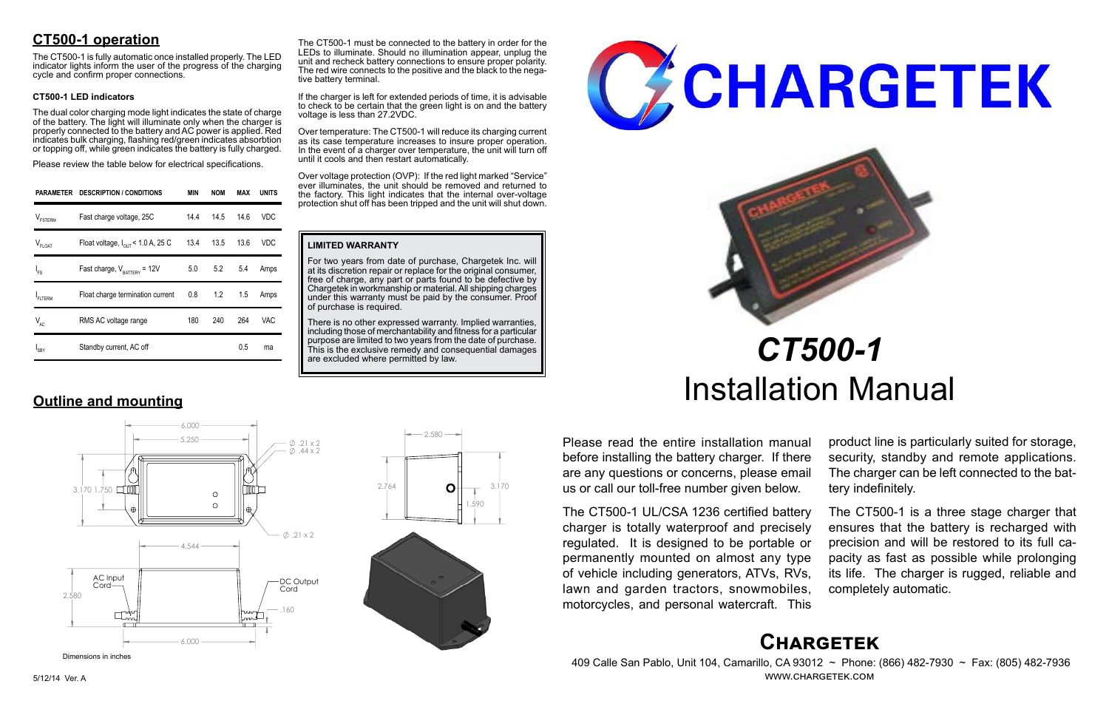# **Chargetek**

 409 Calle San Pablo, Unit 104, Camarillo, CA 93012 ~ Phone: (866) 482-7930 ~ Fax: (805) 482-7936 www.chargetek.com

Please read the entire installation manual before installing the battery charger. If there are any questions or concerns, please email us or call our toll-free number given below.

The CT500-1 UL/CSA 1236 certified battery charger is totally waterproof and precisely regulated. It is designed to be portable or permanently mounted on almost any type of vehicle including generators, ATVs, RVs, lawn and garden tractors, snowmobiles, motorcycles, and personal watercraft. This

product line is particularly suited for storage, security, standby and remote applications. The charger can be left connected to the battery indefinitely.

There is no other expressed warranty. Implied warranties, including those of merchantability and fitness for a particular purpose are limited to two years from the date of purchase. This is the exclusive remedy and consequential damages are excluded where permitted by law.





The CT500-1 is a three stage charger that ensures that the battery is recharged with precision and will be restored to its full capacity as fast as possible while prolonging its life. The charger is rugged, reliable and completely automatic.

The CT500-1 must be connected to the battery in order for the LEDs to illuminate. Should no illumination appear, unplug the unit and recheck battery connections to ensure proper polarity. The red wire connects to the positive and the black to the nega-<br>tive battery terminal.

# *CT500-1* Installation Manual

|                     | PARAMETER DESCRIPTION / CONDITIONS            | <b>MIN</b> | <b>NOM</b>        | MAX  | <b>UNITS</b> |
|---------------------|-----------------------------------------------|------------|-------------------|------|--------------|
| $V_{\text{FSTERM}}$ | Fast charge voltage, 25C                      | 14.4       | 14.5              | 14.6 | <b>VDC</b>   |
| $V_{FLOAT}$         | Float voltage, $I_{\text{OUT}}$ < 1.0 A, 25 C |            | 13.4 13.5         | 13.6 | VDC          |
| $I_{FS}$            | Fast charge, $V_{\text{raffley}} = 12V$       |            | $5.0$ $5.2$ $5.4$ |      | Amps         |
| FLTERM              | Float charge termination current              |            | $0.8$ 1.2         | 1.5  | Amps         |
| $V_{AC}$            | RMS AC voltage range                          | 180        | 240               | 264  | VAC.         |
| $I_{SBY}$           | Standby current, AC off                       |            |                   | 0.5  | ma           |

## **Outline and mounting**

#### **LIMITED WARRANTY**

For two years from date of purchase, Chargetek Inc. will at its discretion repair or replace for the original consumer, free of charge, any part or parts found to be defective by Chargetek in workmanship or material. All shipping charges under this warranty must be paid by the consumer. Proof of purchase is required.

If the charger is left for extended periods of time, it is advisable to check to be certain that the green light is on and the battery voltage is less than 27.2VDC.

Over temperature: The CT500-1 will reduce its charging current as its case temperature increases to insure proper operation. In the event of a charger over temperature, the unit will turn off until it cools and then restart automatically.

Over voltage protection (OVP): If the red light marked "Service" ever illuminates, the unit should be removed and returned to the factory. This light indicates that the internal over-voltage protection shut off has been tripped and the unit will shut down.





 $2.580 -$ 

### **CT500-1 operation**

The CT500-1 is fully automatic once installed properly. The LED indicator lights inform the user of the progress of the charging cycle and confirm proper connections.

#### **CT500-1 LED indicators**

The dual color charging mode light indicates the state of charge of the battery. The light will illuminate only when the charger is properly connected to the battery and AC power is applied. Red indicates bulk charging, flashing red/green indicates absorbtion or topping off, while green indicates the battery is fully charged.

Please review the table below for electrical specifications.